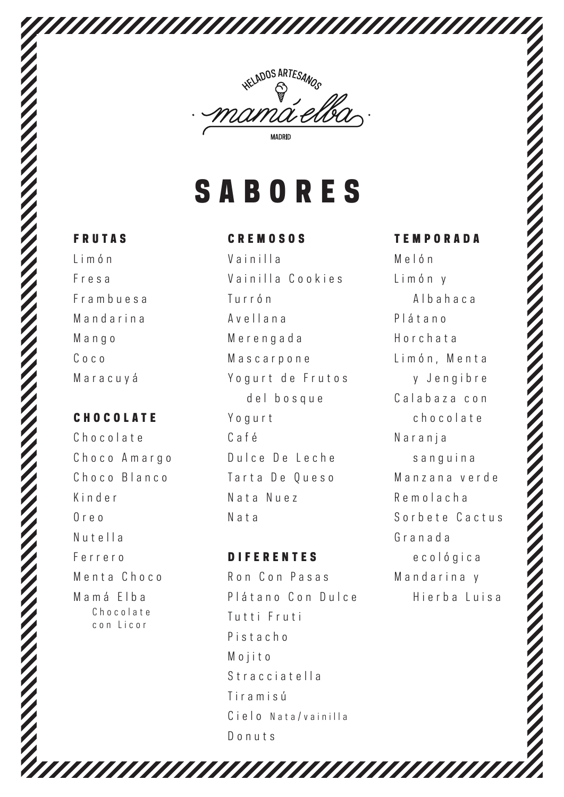

## **SABORES**

#### FRUTAS

Limón Fresa Frambuesa Mandarina Mango Coco Maracuyá

## **CHOCOLATE**

Chocolate Choco Amargo Choco Blanco Kinder Oreo Nutella Ferrero Menta Choco Mamá Elba Chocolate con Licor

### CREMOSOS

Vainilla Vainilla Cookies Turrón Avellana Merengada Mascarpone Yogurt de Frutos del bosque Yogurt Café Dulce De Leche Tarta De Oueso Nata Nuez Nata

### DIFERENTES

,,,,,,,,,

Ron Con Pasas Plátano Con Dulce Tutti Fruti Pistacho Mojito Stracciatella Tiramisú Cielo Nata/vainilla Donuts

## TEMPORADA Melón

Limón y Albahaca Plátano Horchata Limón, Menta y Jengibre Calabaza con chocolate Naranja sanguina Manzana verde Remolacha Sorbete Cactus Granada ecológica Mandarina y Hierba Luisa